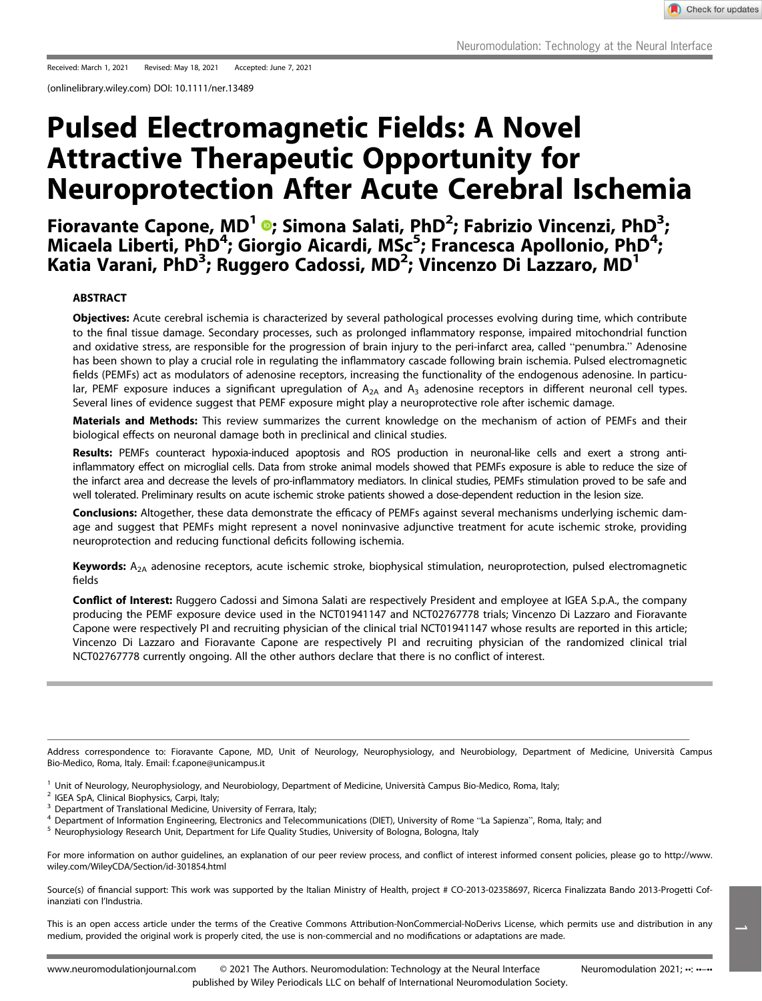(onlinelibrary.wiley.com) DOI: 10.1111/ner.13489

# Pulsed Electromagnetic Fields: A Novel Attractive Therapeutic Opportunity for Neuroprotection After Acute Cerebral Ischemia

Fioravante Capone, MD<sup>1</sup> ®[;](https://orcid.org/0000-0002-7639-5104) Simona Salati, PhD<sup>2</sup>; Fabrizio Vincenzi, PhD<sup>3</sup>; Micaela Liberti, PhD<sup>4</sup>; Giorgio Aicardi, MSc<sup>5</sup>; Francesca Apollonio, PhD<sup>4</sup>; Katia Varani, PhD<sup>3</sup>; Ruggero Cadossi, MD<sup>2</sup>; Vincenzo Di Lazzaro, MD<sup>1</sup>

## ABSTRACT

Objectives: Acute cerebral ischemia is characterized by several pathological processes evolving during time, which contribute to the final tissue damage. Secondary processes, such as prolonged inflammatory response, impaired mitochondrial function and oxidative stress, are responsible for the progression of brain injury to the peri-infarct area, called "penumbra." Adenosine has been shown to play a crucial role in regulating the inflammatory cascade following brain ischemia. Pulsed electromagnetic fields (PEMFs) act as modulators of adenosine receptors, increasing the functionality of the endogenous adenosine. In particular, PEMF exposure induces a significant upregulation of  $A_{2A}$  and  $A_3$  adenosine receptors in different neuronal cell types. Several lines of evidence suggest that PEMF exposure might play a neuroprotective role after ischemic damage.

Materials and Methods: This review summarizes the current knowledge on the mechanism of action of PEMFs and their biological effects on neuronal damage both in preclinical and clinical studies.

Results: PEMFs counteract hypoxia-induced apoptosis and ROS production in neuronal-like cells and exert a strong antiinflammatory effect on microglial cells. Data from stroke animal models showed that PEMFs exposure is able to reduce the size of the infarct area and decrease the levels of pro-inflammatory mediators. In clinical studies, PEMFs stimulation proved to be safe and well tolerated. Preliminary results on acute ischemic stroke patients showed a dose-dependent reduction in the lesion size.

Conclusions: Altogether, these data demonstrate the efficacy of PEMFs against several mechanisms underlying ischemic damage and suggest that PEMFs might represent a novel noninvasive adjunctive treatment for acute ischemic stroke, providing neuroprotection and reducing functional deficits following ischemia.

Keywords:  $A_{2A}$  adenosine receptors, acute ischemic stroke, biophysical stimulation, neuroprotection, pulsed electromagnetic fields

Conflict of Interest: Ruggero Cadossi and Simona Salati are respectively President and employee at IGEA S.p.A., the company producing the PEMF exposure device used in the NCT01941147 and NCT02767778 trials; Vincenzo Di Lazzaro and Fioravante Capone were respectively PI and recruiting physician of the clinical trial NCT01941147 whose results are reported in this article; Vincenzo Di Lazzaro and Fioravante Capone are respectively PI and recruiting physician of the randomized clinical trial NCT02767778 currently ongoing. All the other authors declare that there is no conflict of interest.

Address correspondence to: Fioravante Capone, MD, Unit of Neurology, Neurophysiology, and Neurobiology, Department of Medicine, Università Campus Bio-Medico, Roma, Italy. Email: [f.capone@unicampus.it](mailto:f.capone@unicampus.it)

- 
- 
- <sup>1</sup> Unit of Neurology, Neurophysiology, and Neurobiology, Department of Medicine, Università Campus Bio-Medico, Roma, Italy;<br><sup>2</sup> IGEA SpA, Clinical Biophysics, Carpi, Italy;<br><sup>3</sup> Department of Translational Medicine, Unive
- 

For more information on author guidelines, an explanation of our peer review process, and conflict of interest informed consent policies, please go to [http://www.](http://www.wiley.com/WileyCDA/Section/id-301854.html) [wiley.com/WileyCDA/Section/id-301854.html](http://www.wiley.com/WileyCDA/Section/id-301854.html)

Source(s) of financial support: This work was supported by the Italian Ministry of Health, project # CO-2013-02358697, Ricerca Finalizzata Bando 2013-Progetti Cofinanziati con l'Industria.

This is an open access article under the terms of the [Creative Commons Attribution-NonCommercial-NoDerivs](http://creativecommons.org/licenses/by-nc-nd/4.0/) License, which permits use and distribution in any medium, provided the original work is properly cited, the use is non-commercial and no modifications or adaptations are made.

1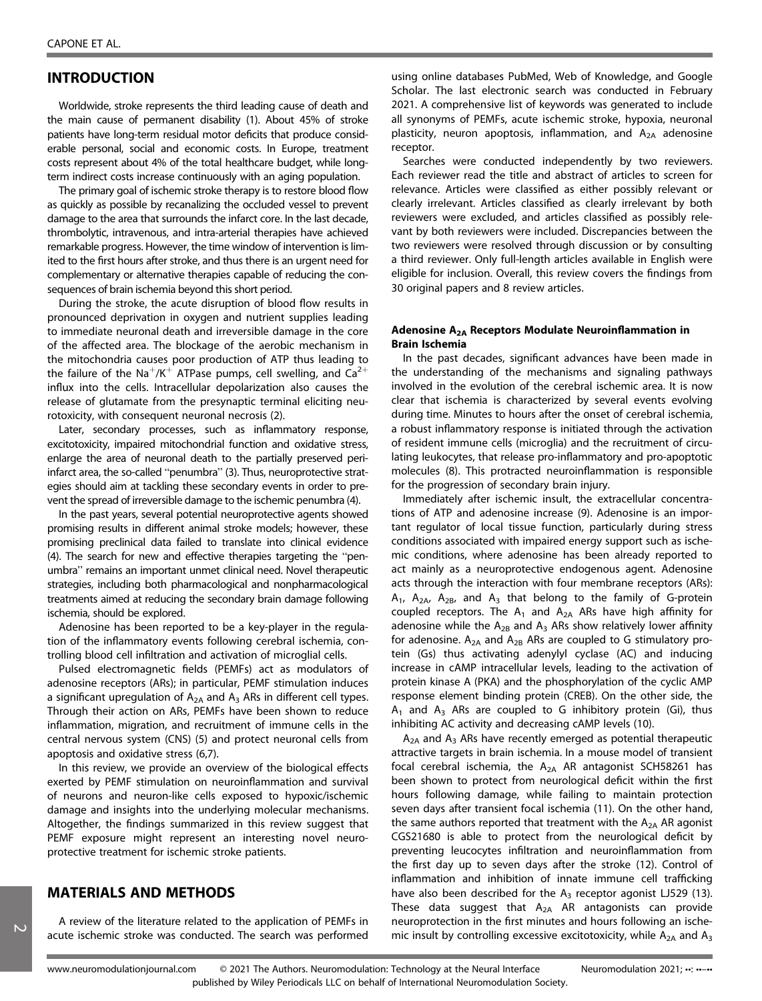# INTRODUCTION

Worldwide, stroke represents the third leading cause of death and the main cause of permanent disability (1). About 45% of stroke patients have long-term residual motor deficits that produce considerable personal, social and economic costs. In Europe, treatment costs represent about 4% of the total healthcare budget, while longterm indirect costs increase continuously with an aging population.

The primary goal of ischemic stroke therapy is to restore blood flow as quickly as possible by recanalizing the occluded vessel to prevent damage to the area that surrounds the infarct core. In the last decade, thrombolytic, intravenous, and intra-arterial therapies have achieved remarkable progress. However, the time window of intervention is limited to the first hours after stroke, and thus there is an urgent need for complementary or alternative therapies capable of reducing the consequences of brain ischemia beyond this short period.

During the stroke, the acute disruption of blood flow results in pronounced deprivation in oxygen and nutrient supplies leading to immediate neuronal death and irreversible damage in the core of the affected area. The blockage of the aerobic mechanism in the mitochondria causes poor production of ATP thus leading to the failure of the Na<sup>+</sup>/K<sup>+</sup> ATPase pumps, cell swelling, and  $Ca^{2+}$ influx into the cells. Intracellular depolarization also causes the release of glutamate from the presynaptic terminal eliciting neurotoxicity, with consequent neuronal necrosis (2).

Later, secondary processes, such as inflammatory response, excitotoxicity, impaired mitochondrial function and oxidative stress, enlarge the area of neuronal death to the partially preserved periinfarct area, the so-called "penumbra" (3). Thus, neuroprotective strategies should aim at tackling these secondary events in order to prevent the spread of irreversible damage to the ischemic penumbra (4).

In the past years, several potential neuroprotective agents showed promising results in different animal stroke models; however, these promising preclinical data failed to translate into clinical evidence (4). The search for new and effective therapies targeting the "penumbra" remains an important unmet clinical need. Novel therapeutic strategies, including both pharmacological and nonpharmacological treatments aimed at reducing the secondary brain damage following ischemia, should be explored.

Adenosine has been reported to be a key-player in the regulation of the inflammatory events following cerebral ischemia, controlling blood cell infiltration and activation of microglial cells.

Pulsed electromagnetic fields (PEMFs) act as modulators of adenosine receptors (ARs); in particular, PEMF stimulation induces a significant upregulation of  $A_{2A}$  and  $A_3$  ARs in different cell types. Through their action on ARs, PEMFs have been shown to reduce inflammation, migration, and recruitment of immune cells in the central nervous system (CNS) (5) and protect neuronal cells from apoptosis and oxidative stress (6,7).

In this review, we provide an overview of the biological effects exerted by PEMF stimulation on neuroinflammation and survival of neurons and neuron-like cells exposed to hypoxic/ischemic damage and insights into the underlying molecular mechanisms. Altogether, the findings summarized in this review suggest that PEMF exposure might represent an interesting novel neuroprotective treatment for ischemic stroke patients.

## MATERIALS AND METHODS

A review of the literature related to the application of PEMFs in acute ischemic stroke was conducted. The search was performed using online databases PubMed, Web of Knowledge, and Google Scholar. The last electronic search was conducted in February 2021. A comprehensive list of keywords was generated to include all synonyms of PEMFs, acute ischemic stroke, hypoxia, neuronal plasticity, neuron apoptosis, inflammation, and  $A_{2A}$  adenosine receptor.

Searches were conducted independently by two reviewers. Each reviewer read the title and abstract of articles to screen for relevance. Articles were classified as either possibly relevant or clearly irrelevant. Articles classified as clearly irrelevant by both reviewers were excluded, and articles classified as possibly relevant by both reviewers were included. Discrepancies between the two reviewers were resolved through discussion or by consulting a third reviewer. Only full-length articles available in English were eligible for inclusion. Overall, this review covers the findings from 30 original papers and 8 review articles.

#### Adenosine A2A Receptors Modulate Neuroinflammation in Brain Ischemia

In the past decades, significant advances have been made in the understanding of the mechanisms and signaling pathways involved in the evolution of the cerebral ischemic area. It is now clear that ischemia is characterized by several events evolving during time. Minutes to hours after the onset of cerebral ischemia, a robust inflammatory response is initiated through the activation of resident immune cells (microglia) and the recruitment of circulating leukocytes, that release pro-inflammatory and pro-apoptotic molecules (8). This protracted neuroinflammation is responsible for the progression of secondary brain injury.

Immediately after ischemic insult, the extracellular concentrations of ATP and adenosine increase (9). Adenosine is an important regulator of local tissue function, particularly during stress conditions associated with impaired energy support such as ischemic conditions, where adenosine has been already reported to act mainly as a neuroprotective endogenous agent. Adenosine acts through the interaction with four membrane receptors (ARs):  $A_1$ ,  $A_2$ <sub>A</sub>,  $A_2$ <sub>B</sub>, and  $A_3$  that belong to the family of G-protein coupled receptors. The  $A_1$  and  $A_{2A}$  ARs have high affinity for adenosine while the  $A_{2B}$  and  $A_3$  ARs show relatively lower affinity for adenosine.  $A_{2A}$  and  $A_{2B}$  ARs are coupled to G stimulatory protein (Gs) thus activating adenylyl cyclase (AC) and inducing increase in cAMP intracellular levels, leading to the activation of protein kinase A (PKA) and the phosphorylation of the cyclic AMP response element binding protein (CREB). On the other side, the  $A_1$  and  $A_3$  ARs are coupled to G inhibitory protein (Gi), thus inhibiting AC activity and decreasing cAMP levels (10).

 $A_{2A}$  and  $A_3$  ARs have recently emerged as potential therapeutic attractive targets in brain ischemia. In a mouse model of transient focal cerebral ischemia, the  $A_{2A}$  AR antagonist SCH58261 has been shown to protect from neurological deficit within the first hours following damage, while failing to maintain protection seven days after transient focal ischemia (11). On the other hand, the same authors reported that treatment with the  $A_{2A}$  AR agonist CGS21680 is able to protect from the neurological deficit by preventing leucocytes infiltration and neuroinflammation from the first day up to seven days after the stroke (12). Control of inflammation and inhibition of innate immune cell trafficking have also been described for the  $A_3$  receptor agonist LJ529 (13). These data suggest that  $A_{2A}$  AR antagonists can provide neuroprotection in the first minutes and hours following an ischemic insult by controlling excessive excitotoxicity, while  $A_{2A}$  and  $A_3$ 

 $\overline{\mathsf{c}}$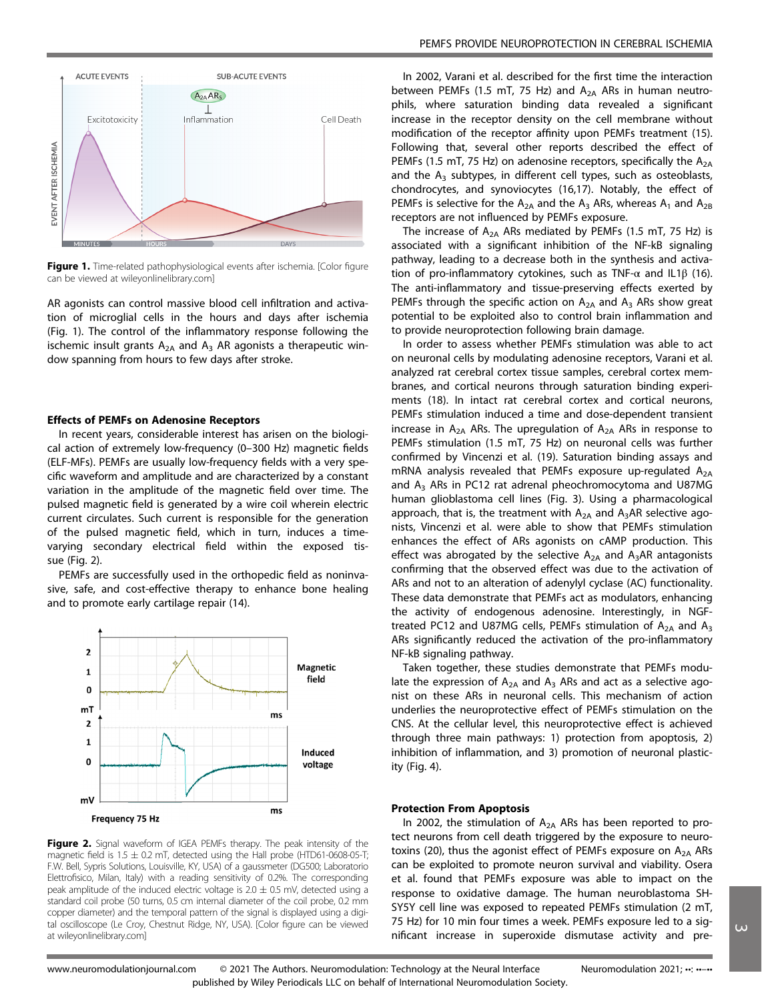

Figure 1. Time-related pathophysiological events after ischemia. [Color figure can be viewed at [wileyonlinelibrary.com\]](http://wileyonlinelibrary.com)

AR agonists can control massive blood cell infiltration and activation of microglial cells in the hours and days after ischemia (Fig. 1). The control of the inflammatory response following the ischemic insult grants  $A_{2A}$  and  $A_3$  AR agonists a therapeutic window spanning from hours to few days after stroke.

#### Effects of PEMFs on Adenosine Receptors

In recent years, considerable interest has arisen on the biological action of extremely low-frequency (0–300 Hz) magnetic fields (ELF-MFs). PEMFs are usually low-frequency fields with a very specific waveform and amplitude and are characterized by a constant variation in the amplitude of the magnetic field over time. The pulsed magnetic field is generated by a wire coil wherein electric current circulates. Such current is responsible for the generation of the pulsed magnetic field, which in turn, induces a timevarying secondary electrical field within the exposed tissue (Fig. 2).

PEMFs are successfully used in the orthopedic field as noninvasive, safe, and cost-effective therapy to enhance bone healing and to promote early cartilage repair (14).



Figure 2. Signal waveform of IGEA PEMFs therapy. The peak intensity of the magnetic field is  $1.5 \pm 0.2$  mT, detected using the Hall probe (HTD61-0608-05-T; F.W. Bell, Sypris Solutions, Louisville, KY, USA) of a gaussmeter (DG500; Laboratorio Elettrofisico, Milan, Italy) with a reading sensitivity of 0.2%. The corresponding peak amplitude of the induced electric voltage is  $2.0 \pm 0.5$  mV, detected using a standard coil probe (50 turns, 0.5 cm internal diameter of the coil probe, 0.2 mm copper diameter) and the temporal pattern of the signal is displayed using a digital oscilloscope (Le Croy, Chestnut Ridge, NY, USA). [Color figure can be viewed at [wileyonlinelibrary.com\]](http://wileyonlinelibrary.com)

In 2002, Varani et al. described for the first time the interaction between PEMFs (1.5 mT, 75 Hz) and  $A_{2A}$  ARs in human neutrophils, where saturation binding data revealed a significant increase in the receptor density on the cell membrane without modification of the receptor affinity upon PEMFs treatment (15). Following that, several other reports described the effect of PEMFs (1.5 mT, 75 Hz) on adenosine receptors, specifically the  $A_{2A}$ and the  $A_3$  subtypes, in different cell types, such as osteoblasts, chondrocytes, and synoviocytes (16,17). Notably, the effect of PEMFs is selective for the  $A_{2A}$  and the  $A_3$  ARs, whereas  $A_1$  and  $A_{2B}$ receptors are not influenced by PEMFs exposure.

The increase of  $A_{2A}$  ARs mediated by PEMFs (1.5 mT, 75 Hz) is associated with a significant inhibition of the NF-kB signaling pathway, leading to a decrease both in the synthesis and activation of pro-inflammatory cytokines, such as TNF- $\alpha$  and IL1 $\beta$  (16). The anti-inflammatory and tissue-preserving effects exerted by PEMFs through the specific action on  $A_{2A}$  and  $A_3$  ARs show great potential to be exploited also to control brain inflammation and to provide neuroprotection following brain damage.

In order to assess whether PEMFs stimulation was able to act on neuronal cells by modulating adenosine receptors, Varani et al. analyzed rat cerebral cortex tissue samples, cerebral cortex membranes, and cortical neurons through saturation binding experiments (18). In intact rat cerebral cortex and cortical neurons, PEMFs stimulation induced a time and dose-dependent transient increase in  $A_{2A}$  ARs. The upregulation of  $A_{2A}$  ARs in response to PEMFs stimulation (1.5 mT, 75 Hz) on neuronal cells was further confirmed by Vincenzi et al. (19). Saturation binding assays and mRNA analysis revealed that PEMFs exposure up-regulated  $A_{2A}$ and  $A_3$  ARs in PC12 rat adrenal pheochromocytoma and U87MG human glioblastoma cell lines (Fig. 3). Using a pharmacological approach, that is, the treatment with  $A_{2A}$  and  $A_3AR$  selective agonists, Vincenzi et al. were able to show that PEMFs stimulation enhances the effect of ARs agonists on cAMP production. This effect was abrogated by the selective  $A_{2A}$  and  $A_3AR$  antagonists confirming that the observed effect was due to the activation of ARs and not to an alteration of adenylyl cyclase (AC) functionality. These data demonstrate that PEMFs act as modulators, enhancing the activity of endogenous adenosine. Interestingly, in NGFtreated PC12 and U87MG cells, PEMFs stimulation of  $A_{2A}$  and  $A_3$ ARs significantly reduced the activation of the pro-inflammatory NF-kB signaling pathway.

Taken together, these studies demonstrate that PEMFs modulate the expression of  $A_{2A}$  and  $A_3$  ARs and act as a selective agonist on these ARs in neuronal cells. This mechanism of action underlies the neuroprotective effect of PEMFs stimulation on the CNS. At the cellular level, this neuroprotective effect is achieved through three main pathways: 1) protection from apoptosis, 2) inhibition of inflammation, and 3) promotion of neuronal plasticity (Fig. 4).

#### Protection From Apoptosis

In 2002, the stimulation of  $A_{2A}$  ARs has been reported to protect neurons from cell death triggered by the exposure to neurotoxins (20), thus the agonist effect of PEMFs exposure on  $A_{2A}$  ARs can be exploited to promote neuron survival and viability. Osera et al. found that PEMFs exposure was able to impact on the response to oxidative damage. The human neuroblastoma SH-SY5Y cell line was exposed to repeated PEMFs stimulation (2 mT, 75 Hz) for 10 min four times a week. PEMFs exposure led to a significant increase in superoxide dismutase activity and pre-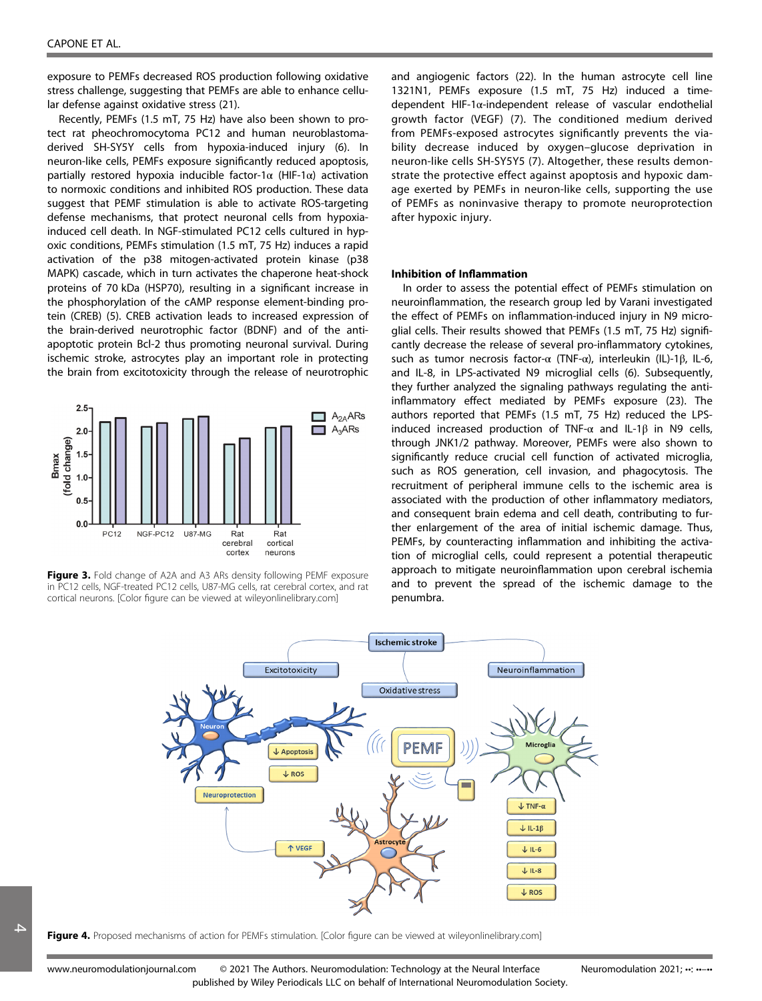exposure to PEMFs decreased ROS production following oxidative stress challenge, suggesting that PEMFs are able to enhance cellular defense against oxidative stress (21).

Recently, PEMFs (1.5 mT, 75 Hz) have also been shown to protect rat pheochromocytoma PC12 and human neuroblastomaderived SH-SY5Y cells from hypoxia-induced injury (6). In neuron-like cells, PEMFs exposure significantly reduced apoptosis, partially restored hypoxia inducible factor-1 $\alpha$  (HIF-1 $\alpha$ ) activation to normoxic conditions and inhibited ROS production. These data suggest that PEMF stimulation is able to activate ROS-targeting defense mechanisms, that protect neuronal cells from hypoxiainduced cell death. In NGF-stimulated PC12 cells cultured in hypoxic conditions, PEMFs stimulation (1.5 mT, 75 Hz) induces a rapid activation of the p38 mitogen-activated protein kinase (p38 MAPK) cascade, which in turn activates the chaperone heat-shock proteins of 70 kDa (HSP70), resulting in a significant increase in the phosphorylation of the cAMP response element-binding protein (CREB) (5). CREB activation leads to increased expression of the brain-derived neurotrophic factor (BDNF) and of the antiapoptotic protein Bcl-2 thus promoting neuronal survival. During ischemic stroke, astrocytes play an important role in protecting the brain from excitotoxicity through the release of neurotrophic



Figure 3. Fold change of A2A and A3 ARs density following PEMF exposure in PC12 cells, NGF-treated PC12 cells, U87-MG cells, rat cerebral cortex, and rat cortical neurons. [Color figure can be viewed at [wileyonlinelibrary.com\]](http://wileyonlinelibrary.com)

and angiogenic factors (22). In the human astrocyte cell line 1321N1, PEMFs exposure (1.5 mT, 75 Hz) induced a timedependent HIF-1α-independent release of vascular endothelial growth factor (VEGF) (7). The conditioned medium derived from PEMFs-exposed astrocytes significantly prevents the viability decrease induced by oxygen–glucose deprivation in neuron-like cells SH-SY5Y5 (7). Altogether, these results demonstrate the protective effect against apoptosis and hypoxic damage exerted by PEMFs in neuron-like cells, supporting the use of PEMFs as noninvasive therapy to promote neuroprotection after hypoxic injury.

#### Inhibition of Inflammation

In order to assess the potential effect of PEMFs stimulation on neuroinflammation, the research group led by Varani investigated the effect of PEMFs on inflammation-induced injury in N9 microglial cells. Their results showed that PEMFs (1.5 mT, 75 Hz) significantly decrease the release of several pro-inflammatory cytokines, such as tumor necrosis factor-α (TNF-α), interleukin (IL)-1β, IL-6, and IL-8, in LPS-activated N9 microglial cells (6). Subsequently, they further analyzed the signaling pathways regulating the antiinflammatory effect mediated by PEMFs exposure (23). The authors reported that PEMFs (1.5 mT, 75 Hz) reduced the LPSinduced increased production of TNF-α and IL-1β in N9 cells, through JNK1/2 pathway. Moreover, PEMFs were also shown to significantly reduce crucial cell function of activated microglia, such as ROS generation, cell invasion, and phagocytosis. The recruitment of peripheral immune cells to the ischemic area is associated with the production of other inflammatory mediators, and consequent brain edema and cell death, contributing to further enlargement of the area of initial ischemic damage. Thus, PEMFs, by counteracting inflammation and inhibiting the activation of microglial cells, could represent a potential therapeutic approach to mitigate neuroinflammation upon cerebral ischemia and to prevent the spread of the ischemic damage to the penumbra.

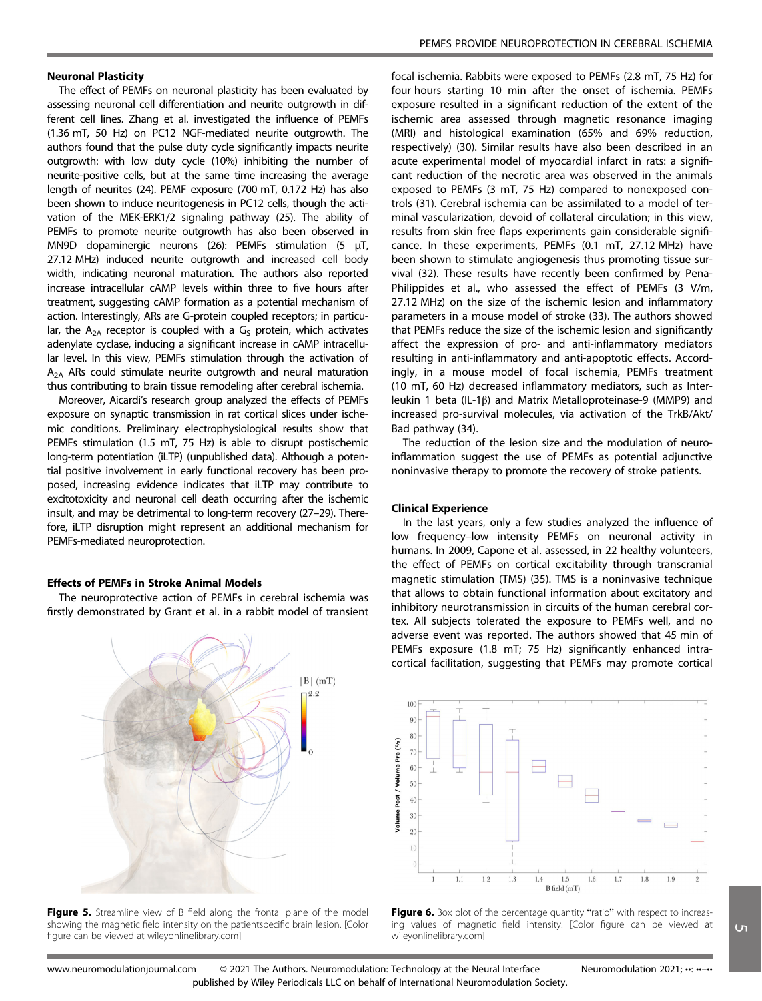The effect of PEMFs on neuronal plasticity has been evaluated by assessing neuronal cell differentiation and neurite outgrowth in different cell lines. Zhang et al. investigated the influence of PEMFs (1.36 mT, 50 Hz) on PC12 NGF-mediated neurite outgrowth. The authors found that the pulse duty cycle significantly impacts neurite outgrowth: with low duty cycle (10%) inhibiting the number of neurite-positive cells, but at the same time increasing the average length of neurites (24). PEMF exposure (700 mT, 0.172 Hz) has also been shown to induce neuritogenesis in PC12 cells, though the activation of the MEK-ERK1/2 signaling pathway (25). The ability of PEMFs to promote neurite outgrowth has also been observed in MN9D dopaminergic neurons (26): PEMFs stimulation (5 μT, 27.12 MHz) induced neurite outgrowth and increased cell body width, indicating neuronal maturation. The authors also reported increase intracellular cAMP levels within three to five hours after treatment, suggesting cAMP formation as a potential mechanism of action. Interestingly, ARs are G-protein coupled receptors; in particular, the  $A_{2A}$  receptor is coupled with a  $G<sub>S</sub>$  protein, which activates adenylate cyclase, inducing a significant increase in cAMP intracellular level. In this view, PEMFs stimulation through the activation of  $A_{2A}$  ARs could stimulate neurite outgrowth and neural maturation thus contributing to brain tissue remodeling after cerebral ischemia.

Moreover, Aicardi's research group analyzed the effects of PEMFs exposure on synaptic transmission in rat cortical slices under ischemic conditions. Preliminary electrophysiological results show that PEMFs stimulation (1.5 mT, 75 Hz) is able to disrupt postischemic long-term potentiation (iLTP) (unpublished data). Although a potential positive involvement in early functional recovery has been proposed, increasing evidence indicates that iLTP may contribute to excitotoxicity and neuronal cell death occurring after the ischemic insult, and may be detrimental to long-term recovery (27–29). Therefore, iLTP disruption might represent an additional mechanism for PEMFs-mediated neuroprotection.

#### Effects of PEMFs in Stroke Animal Models

The neuroprotective action of PEMFs in cerebral ischemia was firstly demonstrated by Grant et al. in a rabbit model of transient



Figure 5. Streamline view of B field along the frontal plane of the model showing the magnetic field intensity on the patientspecific brain lesion. [Color figure can be viewed at [wileyonlinelibrary.com\]](http://wileyonlinelibrary.com)

focal ischemia. Rabbits were exposed to PEMFs (2.8 mT, 75 Hz) for four hours starting 10 min after the onset of ischemia. PEMFs exposure resulted in a significant reduction of the extent of the ischemic area assessed through magnetic resonance imaging (MRI) and histological examination (65% and 69% reduction, respectively) (30). Similar results have also been described in an acute experimental model of myocardial infarct in rats: a significant reduction of the necrotic area was observed in the animals exposed to PEMFs (3 mT, 75 Hz) compared to nonexposed controls (31). Cerebral ischemia can be assimilated to a model of terminal vascularization, devoid of collateral circulation; in this view, results from skin free flaps experiments gain considerable significance. In these experiments, PEMFs (0.1 mT, 27.12 MHz) have been shown to stimulate angiogenesis thus promoting tissue survival (32). These results have recently been confirmed by Pena-Philippides et al., who assessed the effect of PEMFs (3 V/m, 27.12 MHz) on the size of the ischemic lesion and inflammatory parameters in a mouse model of stroke (33). The authors showed that PEMFs reduce the size of the ischemic lesion and significantly affect the expression of pro- and anti-inflammatory mediators resulting in anti-inflammatory and anti-apoptotic effects. Accordingly, in a mouse model of focal ischemia, PEMFs treatment (10 mT, 60 Hz) decreased inflammatory mediators, such as Interleukin 1 beta (IL-1β) and Matrix Metalloproteinase-9 (MMP9) and increased pro-survival molecules, via activation of the TrkB/Akt/ Bad pathway (34).

The reduction of the lesion size and the modulation of neuroinflammation suggest the use of PEMFs as potential adjunctive noninvasive therapy to promote the recovery of stroke patients.

#### Clinical Experience

In the last years, only a few studies analyzed the influence of low frequency–low intensity PEMFs on neuronal activity in humans. In 2009, Capone et al. assessed, in 22 healthy volunteers, the effect of PEMFs on cortical excitability through transcranial magnetic stimulation (TMS) (35). TMS is a noninvasive technique that allows to obtain functional information about excitatory and inhibitory neurotransmission in circuits of the human cerebral cortex. All subjects tolerated the exposure to PEMFs well, and no adverse event was reported. The authors showed that 45 min of PEMFs exposure (1.8 mT; 75 Hz) significantly enhanced intracortical facilitation, suggesting that PEMFs may promote cortical



Figure 6. Box plot of the percentage quantity "ratio" with respect to increasing values of magnetic field intensity. [Color figure can be viewed at [wileyonlinelibrary.com](http://wileyonlinelibrary.com)]

 $\overline{G}$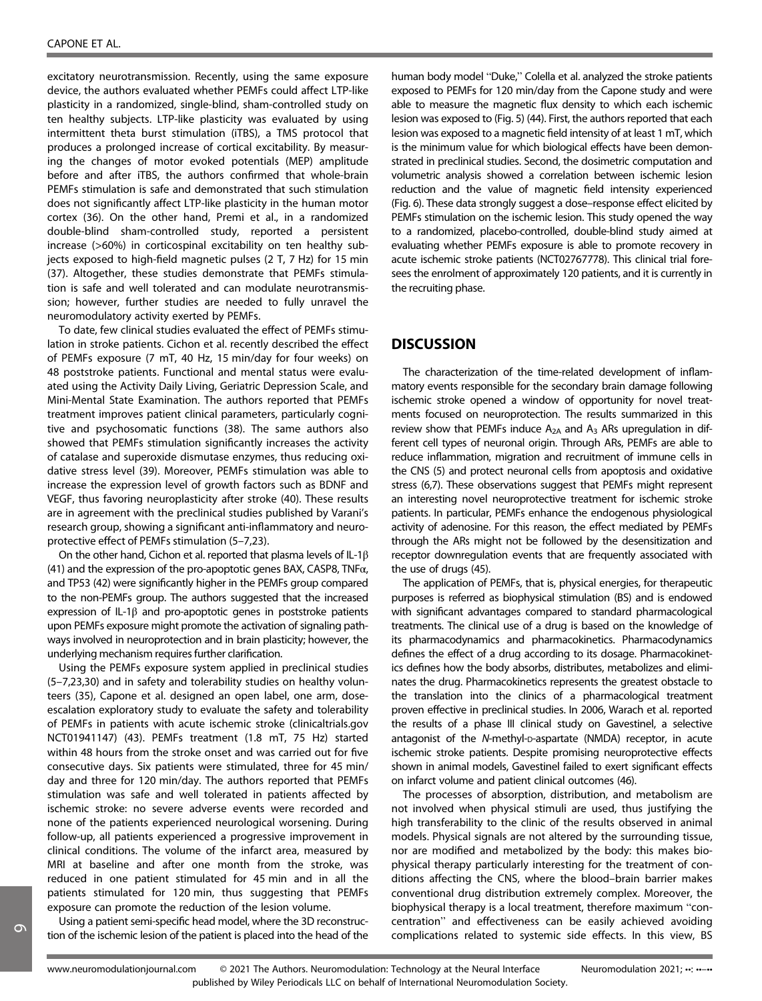excitatory neurotransmission. Recently, using the same exposure device, the authors evaluated whether PEMFs could affect LTP-like plasticity in a randomized, single-blind, sham-controlled study on ten healthy subjects. LTP-like plasticity was evaluated by using intermittent theta burst stimulation (iTBS), a TMS protocol that produces a prolonged increase of cortical excitability. By measuring the changes of motor evoked potentials (MEP) amplitude before and after iTBS, the authors confirmed that whole-brain PEMFs stimulation is safe and demonstrated that such stimulation does not significantly affect LTP-like plasticity in the human motor cortex (36). On the other hand, Premi et al., in a randomized double-blind sham-controlled study, reported a persistent increase (>60%) in corticospinal excitability on ten healthy subjects exposed to high-field magnetic pulses (2 T, 7 Hz) for 15 min (37). Altogether, these studies demonstrate that PEMFs stimulation is safe and well tolerated and can modulate neurotransmission; however, further studies are needed to fully unravel the neuromodulatory activity exerted by PEMFs.

To date, few clinical studies evaluated the effect of PEMFs stimulation in stroke patients. Cichon et al. recently described the effect of PEMFs exposure (7 mT, 40 Hz, 15 min/day for four weeks) on 48 poststroke patients. Functional and mental status were evaluated using the Activity Daily Living, Geriatric Depression Scale, and Mini-Mental State Examination. The authors reported that PEMFs treatment improves patient clinical parameters, particularly cognitive and psychosomatic functions (38). The same authors also showed that PEMFs stimulation significantly increases the activity of catalase and superoxide dismutase enzymes, thus reducing oxidative stress level (39). Moreover, PEMFs stimulation was able to increase the expression level of growth factors such as BDNF and VEGF, thus favoring neuroplasticity after stroke (40). These results are in agreement with the preclinical studies published by Varani's research group, showing a significant anti-inflammatory and neuroprotective effect of PEMFs stimulation (5–7,23).

On the other hand, Cichon et al. reported that plasma levels of IL-1β (41) and the expression of the pro-apoptotic genes BAX, CASP8, TNF $\alpha$ , and TP53 (42) were significantly higher in the PEMFs group compared to the non-PEMFs group. The authors suggested that the increased expression of IL-1β and pro-apoptotic genes in poststroke patients upon PEMFs exposure might promote the activation of signaling pathways involved in neuroprotection and in brain plasticity; however, the underlying mechanism requires further clarification.

Using the PEMFs exposure system applied in preclinical studies (5–7,23,30) and in safety and tolerability studies on healthy volunteers (35), Capone et al. designed an open label, one arm, doseescalation exploratory study to evaluate the safety and tolerability of PEMFs in patients with acute ischemic stroke ([clinicaltrials.gov](http://clinicaltrials.gov) NCT01941147) (43). PEMFs treatment (1.8 mT, 75 Hz) started within 48 hours from the stroke onset and was carried out for five consecutive days. Six patients were stimulated, three for 45 min/ day and three for 120 min/day. The authors reported that PEMFs stimulation was safe and well tolerated in patients affected by ischemic stroke: no severe adverse events were recorded and none of the patients experienced neurological worsening. During follow-up, all patients experienced a progressive improvement in clinical conditions. The volume of the infarct area, measured by MRI at baseline and after one month from the stroke, was reduced in one patient stimulated for 45 min and in all the patients stimulated for 120 min, thus suggesting that PEMFs exposure can promote the reduction of the lesion volume.

Using a patient semi-specific head model, where the 3D reconstruction of the ischemic lesion of the patient is placed into the head of the

human body model "Duke," Colella et al. analyzed the stroke patients exposed to PEMFs for 120 min/day from the Capone study and were able to measure the magnetic flux density to which each ischemic lesion was exposed to (Fig. 5) (44). First, the authors reported that each lesion was exposed to a magnetic field intensity of at least 1 mT, which is the minimum value for which biological effects have been demonstrated in preclinical studies. Second, the dosimetric computation and volumetric analysis showed a correlation between ischemic lesion reduction and the value of magnetic field intensity experienced (Fig. 6). These data strongly suggest a dose–response effect elicited by PEMFs stimulation on the ischemic lesion. This study opened the way to a randomized, placebo-controlled, double-blind study aimed at evaluating whether PEMFs exposure is able to promote recovery in acute ischemic stroke patients (NCT02767778). This clinical trial foresees the enrolment of approximately 120 patients, and it is currently in the recruiting phase.

## **DISCUSSION**

The characterization of the time-related development of inflammatory events responsible for the secondary brain damage following ischemic stroke opened a window of opportunity for novel treatments focused on neuroprotection. The results summarized in this review show that PEMFs induce  $A_{2A}$  and  $A_3$  ARs upregulation in different cell types of neuronal origin. Through ARs, PEMFs are able to reduce inflammation, migration and recruitment of immune cells in the CNS (5) and protect neuronal cells from apoptosis and oxidative stress (6,7). These observations suggest that PEMFs might represent an interesting novel neuroprotective treatment for ischemic stroke patients. In particular, PEMFs enhance the endogenous physiological activity of adenosine. For this reason, the effect mediated by PEMFs through the ARs might not be followed by the desensitization and receptor downregulation events that are frequently associated with the use of drugs (45).

The application of PEMFs, that is, physical energies, for therapeutic purposes is referred as biophysical stimulation (BS) and is endowed with significant advantages compared to standard pharmacological treatments. The clinical use of a drug is based on the knowledge of its pharmacodynamics and pharmacokinetics. Pharmacodynamics defines the effect of a drug according to its dosage. Pharmacokinetics defines how the body absorbs, distributes, metabolizes and eliminates the drug. Pharmacokinetics represents the greatest obstacle to the translation into the clinics of a pharmacological treatment proven effective in preclinical studies. In 2006, Warach et al. reported the results of a phase III clinical study on Gavestinel, a selective antagonist of the N-methyl-D-aspartate (NMDA) receptor, in acute ischemic stroke patients. Despite promising neuroprotective effects shown in animal models, Gavestinel failed to exert significant effects on infarct volume and patient clinical outcomes (46).

The processes of absorption, distribution, and metabolism are not involved when physical stimuli are used, thus justifying the high transferability to the clinic of the results observed in animal models. Physical signals are not altered by the surrounding tissue, nor are modified and metabolized by the body: this makes biophysical therapy particularly interesting for the treatment of conditions affecting the CNS, where the blood–brain barrier makes conventional drug distribution extremely complex. Moreover, the biophysical therapy is a local treatment, therefore maximum "concentration" and effectiveness can be easily achieved avoiding complications related to systemic side effects. In this view, BS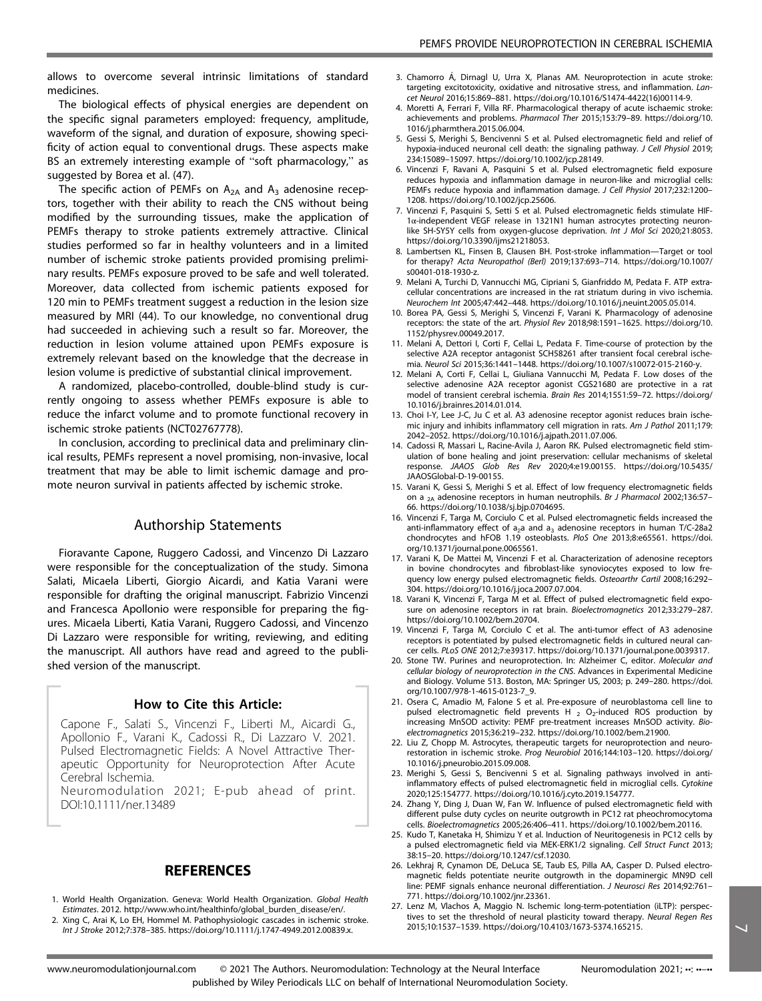allows to overcome several intrinsic limitations of standard medicines.

The biological effects of physical energies are dependent on the specific signal parameters employed: frequency, amplitude, waveform of the signal, and duration of exposure, showing specificity of action equal to conventional drugs. These aspects make BS an extremely interesting example of "soft pharmacology," as suggested by Borea et al. (47).

The specific action of PEMFs on  $A_{2A}$  and  $A_3$  adenosine receptors, together with their ability to reach the CNS without being modified by the surrounding tissues, make the application of PEMFs therapy to stroke patients extremely attractive. Clinical studies performed so far in healthy volunteers and in a limited number of ischemic stroke patients provided promising preliminary results. PEMFs exposure proved to be safe and well tolerated. Moreover, data collected from ischemic patients exposed for 120 min to PEMFs treatment suggest a reduction in the lesion size measured by MRI (44). To our knowledge, no conventional drug had succeeded in achieving such a result so far. Moreover, the reduction in lesion volume attained upon PEMFs exposure is extremely relevant based on the knowledge that the decrease in lesion volume is predictive of substantial clinical improvement.

A randomized, placebo-controlled, double-blind study is currently ongoing to assess whether PEMFs exposure is able to reduce the infarct volume and to promote functional recovery in ischemic stroke patients (NCT02767778).

In conclusion, according to preclinical data and preliminary clinical results, PEMFs represent a novel promising, non-invasive, local treatment that may be able to limit ischemic damage and promote neuron survival in patients affected by ischemic stroke.

## Authorship Statements

Fioravante Capone, Ruggero Cadossi, and Vincenzo Di Lazzaro were responsible for the conceptualization of the study. Simona Salati, Micaela Liberti, Giorgio Aicardi, and Katia Varani were responsible for drafting the original manuscript. Fabrizio Vincenzi and Francesca Apollonio were responsible for preparing the figures. Micaela Liberti, Katia Varani, Ruggero Cadossi, and Vincenzo Di Lazzaro were responsible for writing, reviewing, and editing the manuscript. All authors have read and agreed to the published version of the manuscript.

## How to Cite this Article:

Capone F., Salati S., Vincenzi F., Liberti M., Aicardi G., Apollonio F., Varani K., Cadossi R., Di Lazzaro V. 2021. Pulsed Electromagnetic Fields: A Novel Attractive Therapeutic Opportunity for Neuroprotection After Acute Cerebral Ischemia.

Neuromodulation 2021; E-pub ahead of print. DOI:10.1111/ner.13489

## **REFERENCES**

- 1. World Health Organization. Geneva: World Health Organization. Global Health Estimates. 2012. [http://www.who.int/healthinfo/global\\_burden\\_disease/en/](http://www.who.int/healthinfo/global_burden_disease/en/).
- 2. Xing C, Arai K, Lo EH, Hommel M. Pathophysiologic cascades in ischemic stroke. Int J Stroke 2012;7:378–385.<https://doi.org/10.1111/j.1747-4949.2012.00839.x>.

www.neuromodulationjournal.com

- 3. Chamorro Á, Dirnagl U, Urra X, Planas AM. Neuroprotection in acute stroke targeting excitotoxicity, oxidative and nitrosative stress, and inflammation. Lancet Neurol 2016;15:869–881. [https://doi.org/10.1016/S1474-4422\(16\)00114-9.](https://doi.org/10.1016/S1474-4422(16)00114-9)
- 4. Moretti A, Ferrari F, Villa RF. Pharmacological therapy of acute ischaemic stroke: achievements and problems. Pharmacol Ther 2015;153:79–89. [https://doi.org/10.](https://doi.org/10.1016/j.pharmthera.2015.06.004) [1016/j.pharmthera.2015.06.004.](https://doi.org/10.1016/j.pharmthera.2015.06.004)
- 5. Gessi S, Merighi S, Bencivenni S et al. Pulsed electromagnetic field and relief of hypoxia-induced neuronal cell death: the signaling pathway. J Cell Physiol 2019; 234:15089–15097.<https://doi.org/10.1002/jcp.28149>.
- 6. Vincenzi F, Ravani A, Pasquini S et al. Pulsed electromagnetic field exposure reduces hypoxia and inflammation damage in neuron-like and microglial cells: PEMFs reduce hypoxia and inflammation damage. J Cell Physiol 2017;232:1200– 1208.<https://doi.org/10.1002/jcp.25606>.
- 7. Vincenzi F, Pasquini S, Setti S et al. Pulsed electromagnetic fields stimulate HIF-1α-independent VEGF release in 1321N1 human astrocytes protecting neuronlike SH-SY5Y cells from oxygen-glucose deprivation. Int J Mol Sci 2020;21:8053. https://doi.org/10.3390/iims21218053.
- 8. Lambertsen KL, Finsen B, Clausen BH. Post-stroke inflammation—Target or tool for therapy? Acta Neuropathol (Berl) 2019;137:693–714. [https://doi.org/10.1007/](https://doi.org/10.1007/s00401-018-1930-z) [s00401-018-1930-z](https://doi.org/10.1007/s00401-018-1930-z).
- 9. Melani A, Turchi D, Vannucchi MG, Cipriani S, Gianfriddo M, Pedata F. ATP extracellular concentrations are increased in the rat striatum during in vivo ischemia. Neurochem Int 2005;47:442–448.<https://doi.org/10.1016/j.neuint.2005.05.014>.
- 10. Borea PA, Gessi S, Merighi S, Vincenzi F, Varani K. Pharmacology of adenosine receptors: the state of the art. Physiol Rev 2018;98:1591–1625. [https://doi.org/10.](https://doi.org/10.1152/physrev.00049.2017) [1152/physrev.00049.2017.](https://doi.org/10.1152/physrev.00049.2017)
- 11. Melani A, Dettori I, Corti F, Cellai L, Pedata F. Time-course of protection by the selective A2A receptor antagonist SCH58261 after transient focal cerebral ischemia. Neurol Sci 2015;36:1441–1448.<https://doi.org/10.1007/s10072-015-2160-y>.
- 12. Melani A, Corti F, Cellai L, Giuliana Vannucchi M, Pedata F. Low doses of the selective adenosine A2A receptor agonist CGS21680 are protective in a rat model of transient cerebral ischemia. Brain Res 2014;1551:59–72. [https://doi.org/](https://doi.org/10.1016/j.brainres.2014.01.014) [10.1016/j.brainres.2014.01.014](https://doi.org/10.1016/j.brainres.2014.01.014).
- 13. Choi I-Y, Lee J-C, Ju C et al. A3 adenosine receptor agonist reduces brain ischemic injury and inhibits inflammatory cell migration in rats. Am J Pathol 2011;179: 2042–2052. [https://doi.org/10.1016/j.ajpath.2011.07.006.](https://doi.org/10.1016/j.ajpath.2011.07.006)
- 14. Cadossi R, Massari L, Racine-Avila J, Aaron RK. Pulsed electromagnetic field stimulation of bone healing and joint preservation: cellular mechanisms of skeletal response. JAAOS Glob Res Rev 2020;4:e19.00155. [https://doi.org/10.5435/](https://doi.org/10.5435/JAAOSGlobal-D-19-00155) [JAAOSGlobal-D-19-00155](https://doi.org/10.5435/JAAOSGlobal-D-19-00155).
- 15. Varani K, Gessi S, Merighi S et al. Effect of low frequency electromagnetic fields on a <sub>2A</sub> adenosine receptors in human neutrophils. Br J Pharmacol 2002;136:57– 66. [https://doi.org/10.1038/sj.bjp.0704695.](https://doi.org/10.1038/sj.bjp.0704695)
- 16. Vincenzi F, Targa M, Corciulo C et al. Pulsed electromagnetic fields increased the anti-inflammatory effect of a<sub>2</sub>a and a<sub>3</sub> adenosine receptors in human T/C-28a2<br>chondrocytes and hFOB 1.19 osteoblasts. PloS One 2013;8:e65561. [https://doi.](https://doi.org/10.1371/journal.pone.0065561) [org/10.1371/journal.pone.0065561.](https://doi.org/10.1371/journal.pone.0065561)
- 17. Varani K, De Mattei M, Vincenzi F et al. Characterization of adenosine receptors in bovine chondrocytes and fibroblast-like synoviocytes exposed to low frequency low energy pulsed electromagnetic fields. Osteoarthr Cartil 2008;16:292– 304.<https://doi.org/10.1016/j.joca.2007.07.004>.
- 18. Varani K, Vincenzi F, Targa M et al. Effect of pulsed electromagnetic field exposure on adenosine receptors in rat brain. Bioelectromagnetics 2012;33:279–287. <https://doi.org/10.1002/bem.20704>.
- 19. Vincenzi F, Targa M, Corciulo C et al. The anti-tumor effect of A3 adenosine receptors is potentiated by pulsed electromagnetic fields in cultured neural cancer cells. PLoS ONE 2012;7:e39317.<https://doi.org/10.1371/journal.pone.0039317>.
- 20. Stone TW. Purines and neuroprotection. In: Alzheimer C, editor. Molecular and cellular biology of neuroprotection in the CNS. Advances in Experimental Medicine and Biology. Volume 513. Boston, MA: Springer US, 2003; p. 249–280. [https://doi.](https://doi.org/10.1007/978-1-4615-0123-7_9) [org/10.1007/978-1-4615-0123-7\\_9.](https://doi.org/10.1007/978-1-4615-0123-7_9)
- 21. Osera C, Amadio M, Falone S et al. Pre-exposure of neuroblastoma cell line to pulsed electromagnetic field prevents H  $_2$  O<sub>2</sub>-induced ROS production by increasing MnSOD activity: PEMF pre-treatment increases MnSOD activity. Bioelectromagnetics 2015;36:219–232.<https://doi.org/10.1002/bem.21900>.
- 22. Liu Z, Chopp M. Astrocytes, therapeutic targets for neuroprotection and neurorestoration in ischemic stroke. Prog Neurobiol 2016;144:103–120. [https://doi.org/](https://doi.org/10.1016/j.pneurobio.2015.09.008) [10.1016/j.pneurobio.2015.09.008](https://doi.org/10.1016/j.pneurobio.2015.09.008).
- 23. Merighi S, Gessi S, Bencivenni S et al. Signaling pathways involved in antiinflammatory effects of pulsed electromagnetic field in microglial cells. Cytokine 2020;125:154777.<https://doi.org/10.1016/j.cyto.2019.154777>.
- 24. Zhang Y, Ding J, Duan W, Fan W. Influence of pulsed electromagnetic field with different pulse duty cycles on neurite outgrowth in PC12 rat pheochromocytoma cells. Bioelectromagnetics 2005;26:406–411.<https://doi.org/10.1002/bem.20116>.
- 25. Kudo T, Kanetaka H, Shimizu Y et al. Induction of Neuritogenesis in PC12 cells by a pulsed electromagnetic field via MEK-ERK1/2 signaling. Cell Struct Funct 2013; 38:15–20.<https://doi.org/10.1247/csf.12030>.
- 26. Lekhraj R, Cynamon DE, DeLuca SE, Taub ES, Pilla AA, Casper D. Pulsed electromagnetic fields potentiate neurite outgrowth in the dopaminergic MN9D cell line: PEMF signals enhance neuronal differentiation. J Neurosci Res 2014;92:761– 771. [https://doi.org/10.1002/jnr.23361.](https://doi.org/10.1002/jnr.23361)
- 27. Lenz M, Vlachos A, Maggio N. Ischemic long-term-potentiation (iLTP): perspectives to set the threshold of neural plasticity toward therapy. Neural Regen Res 2015;10:1537–1539. [https://doi.org/10.4103/1673-5374.165215.](https://doi.org/10.4103/1673-5374.165215) 7